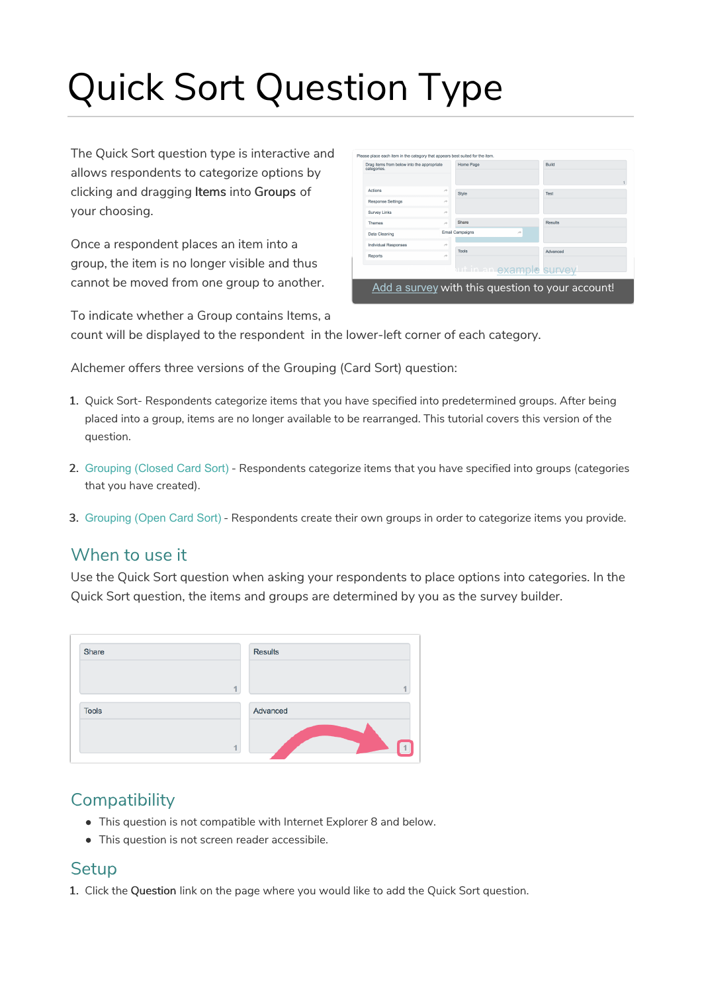# Quick Sort Question Type

The Quick Sort question type is interactive and allows respondents to categorize options by clicking and dragging Items into Groups of your choosing.

Once a respondent places an item into a group, the item is no longer visible and thus cannot be moved from one group to another.

| Drag items from below into the appropriate<br>categories. |               | Home Page                    | Build    |
|-----------------------------------------------------------|---------------|------------------------------|----------|
| <b>Actions</b>                                            | $\rightarrow$ | Style                        | Test     |
| <b>Response Settings</b>                                  | À             |                              |          |
| <b>Survey Links</b>                                       | $\rightarrow$ |                              |          |
| <b>Themes</b>                                             | À             | Share                        | Results  |
| <b>Data Cleaning</b>                                      |               | <b>Email Campaigns</b><br>è  |          |
| <b>Individual Responses</b>                               | À             |                              |          |
| Reports                                                   | À             | Tools                        | Advanced |
|                                                           |               | <b>WEIGHT CXample Survey</b> |          |

To indicate whether a Group contains Items, a count will be displayed to the respondent in the lower-left corner of each category.

Alchemer offers three versions of the Grouping (Card Sort) question:

- 1. Quick Sort- Respondents categorize items that you have specified into predetermined groups. After being placed into a group, items are no longer available to be rearranged. This tutorial covers this version of the question.
- 2. Grouping (Closed Card Sort) Respondents categorize items that you have specified into groups (categories that you have created).
- 3. Grouping (Open Card Sort) Respondents create their own groups in order to categorize items you provide.

### When to use it

Use the Quick Sort question when asking your respondents to place options into categories. In the Quick Sort question, the items and groups are determined by you as the survey builder.

| Share        |    | <b>Results</b> |
|--------------|----|----------------|
|              | A. |                |
| <b>Tools</b> |    | Advanced       |
|              |    |                |

# **Compatibility**

- This question is not compatible with Internet Explorer 8 and below.
- This question is not screen reader accessibile.

#### **Setup**

1. Click the Question link on the page where you would like to add the Quick Sort question.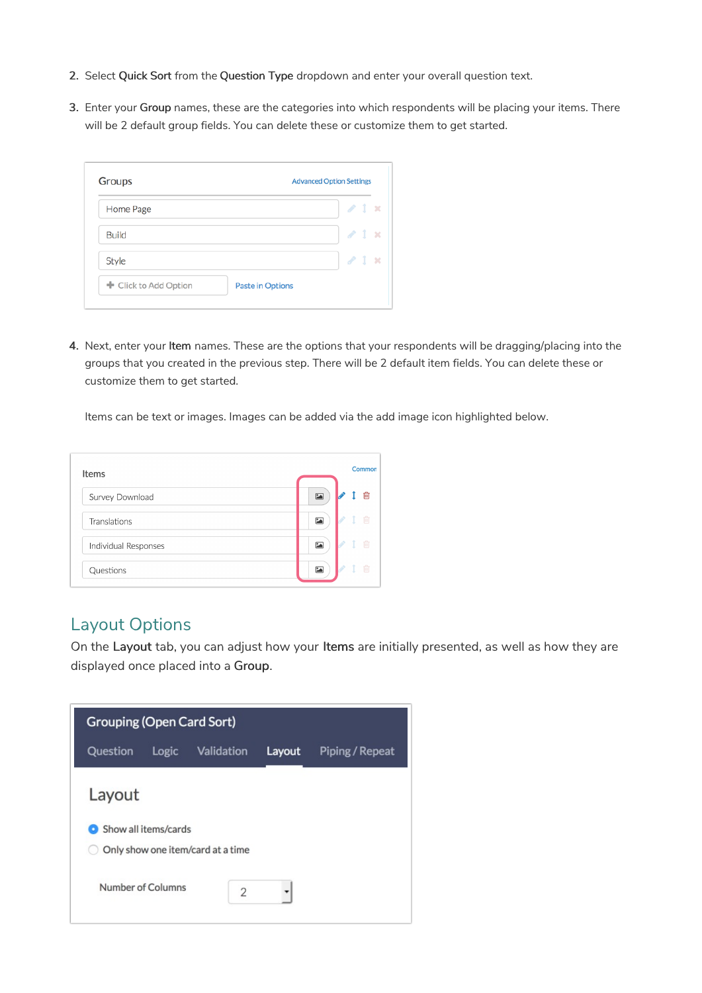- 2. Select Quick Sort from the Question Type dropdown and enter your overall question text.
- 3. Enter your Group names, these are the categories into which respondents will be placing your items. There will be 2 default group fields. You can delete these or customize them to get started.

| Home Page    | $\angle$ 1 $\times$ |        |
|--------------|---------------------|--------|
| <b>Build</b> | $\angle$ 1 x        |        |
| Style        | $\mathcal{P}$ 1     | $\sim$ |

4. Next, enter your Item names. These are the options that your respondents will be dragging/placing into the groups that you created in the previous step. There will be 2 default item fields. You can delete these or customize them to get started.

Items can be text or images. Images can be added via the add image icon highlighted below.

| <b>Items</b>         |                          | Common |
|----------------------|--------------------------|--------|
| Survey Download      | $\sum$                   | ⋒      |
| Translations         | $\overline{\phantom{a}}$ | Tm     |
| Individual Responses | $\overline{\phantom{a}}$ | Till   |
| Questions            | $\overline{\mathbf{z}}$  | 倫      |

## Layout Options

On the Layout tab, you can adjust how your Items are initially presented, as well as how they are displayed once placed into a Group.

| <b>Grouping (Open Card Sort)</b> |                      |                                   |        |                 |  |  |  |
|----------------------------------|----------------------|-----------------------------------|--------|-----------------|--|--|--|
| Question                         | Logic                | Validation                        | Layout | Piping / Repeat |  |  |  |
| Layout                           |                      |                                   |        |                 |  |  |  |
|                                  | Show all items/cards | Only show one item/card at a time |        |                 |  |  |  |
|                                  | Number of Columns    | $\overline{2}$                    |        |                 |  |  |  |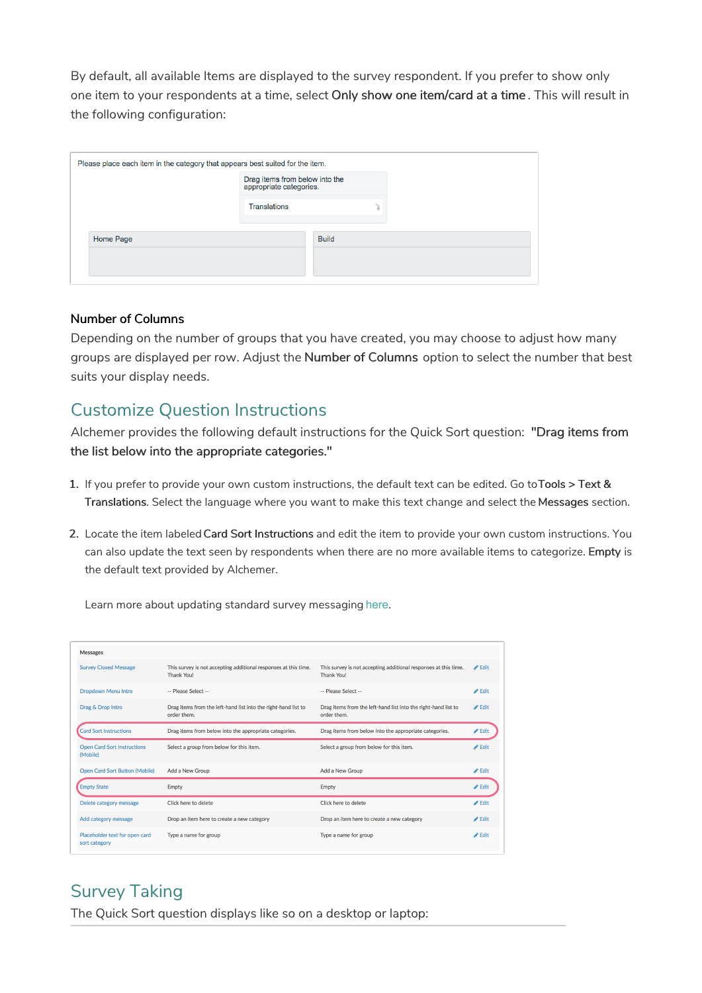By default, all available Items are displayed to the survey respondent. If you prefer to show only one item to your respondents at a time, select Only show one item/card at a time . This will result in the following configuration:

| Please place each item in the category that appears best suited for the item. |                     |                                                           |  |  |  |  |
|-------------------------------------------------------------------------------|---------------------|-----------------------------------------------------------|--|--|--|--|
|                                                                               |                     | Drag items from below into the<br>appropriate categories. |  |  |  |  |
|                                                                               | <b>Translations</b> |                                                           |  |  |  |  |
| Home Page                                                                     |                     | <b>Build</b>                                              |  |  |  |  |
|                                                                               |                     |                                                           |  |  |  |  |

#### Number of Columns

Depending on the number of groups that you have created, you may choose to adjust how many groups are displayed per row. Adjust the Number of Columns option to select the number that best suits your display needs.

# Customize Question Instructions

Alchemer provides the following default instructions for the Quick Sort question: "Drag items from the list below into the appropriate categories."

- 1. If you prefer to provide your own custom instructions, the default text can be edited. Go toTools > Text & Translations. Select the language where you want to make this text change and select the Messages section.
- 2. Locate the item labeled Card Sort Instructions and edit the item to provide your own custom instructions. You can also update the text seen by respondents when there are no more available items to categorize. Empty is the default text provided by Alchemer.

Drop an item here to create a new category

Type a name for group

 $\triangle$  Edit

 $\mathscr{P}$  Edit

 $\mathscr{P}$  Edit

| <b>Messages</b>                                |                                                                                      |                                                                                      |                            |
|------------------------------------------------|--------------------------------------------------------------------------------------|--------------------------------------------------------------------------------------|----------------------------|
| <b>Survey Closed Message</b>                   | This survey is not accepting additional responses at this time.<br><b>Thank You!</b> | This survey is not accepting additional responses at this time.<br><b>Thank You!</b> | $\triangle$ Edit           |
| Dropdown Menu Intro                            | -- Please Select --                                                                  | -- Please Select --                                                                  | $\blacktriangleright$ Edit |
| Drag & Drop Intro                              | Drag items from the left-hand list into the right-hand list to<br>order them.        | Drag items from the left-hand list into the right-hand list to<br>order them.        | $\blacktriangleright$ Edit |
| <b>Card Sort Instructions</b>                  | Drag items from below into the appropriate categories.                               | Drag items from below into the appropriate categories.                               | ✔ Edit                     |
| <b>Open Card Sort Instructions</b><br>(Mobile) | Select a group from below for this item.                                             | Select a group from below for this item.                                             | $\blacktriangleright$ Edit |
| <b>Open Card Sort Button (Mobile)</b>          | Add a New Group                                                                      | Add a New Group                                                                      | $\triangle$ Edit           |
| <b>Empty State</b>                             | Empty                                                                                | Empty                                                                                | $\triangle$ Edit           |
| Delete category message                        | Click here to delete                                                                 | Click here to delete                                                                 | $\blacktriangleright$ Edit |

Learn more about updating standard survey messaging here.

# Survey Taking

Add category message Placeholder text for open card

sort category

The Quick Sort question displays like so on a desktop or laptop:

Drop an item here to create a new category

Type a name for group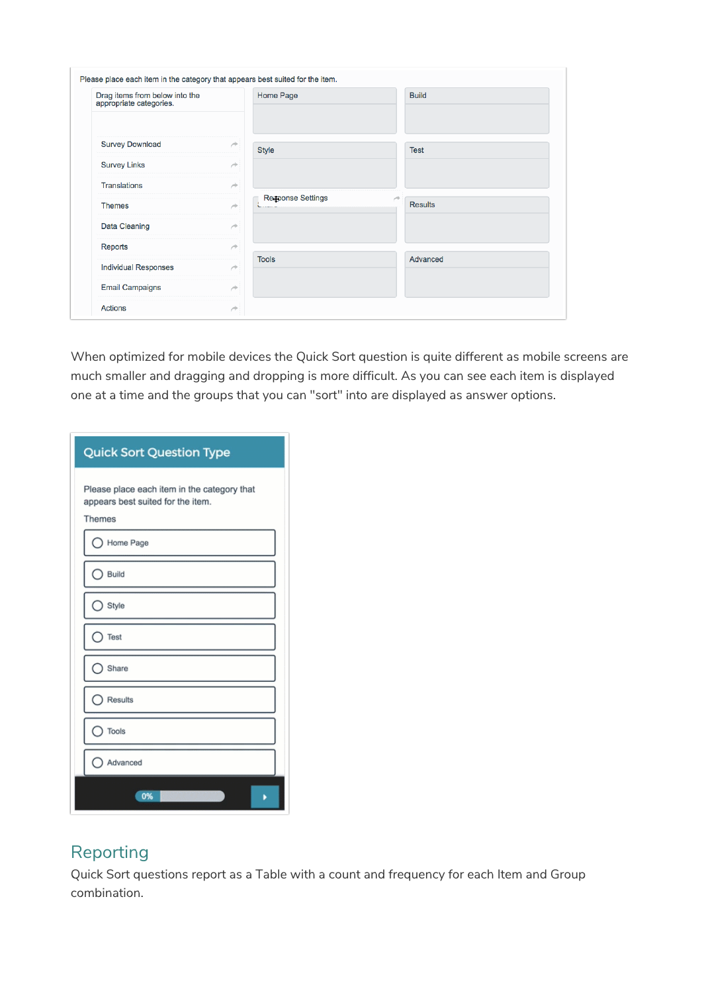| Drag items from below into the<br>appropriate categories. |               | Home Page                | <b>Build</b>        |
|-----------------------------------------------------------|---------------|--------------------------|---------------------|
| <b>Survey Download</b>                                    | ×             | <b>Style</b>             | <b>Test</b>         |
| <b>Survey Links</b>                                       | À             |                          |                     |
| <b>Translations</b>                                       | ×             |                          |                     |
| <b>Themes</b>                                             | $\rightarrow$ | <b>Response Settings</b> | v<br><b>Results</b> |
| Data Cleaning                                             | ×             |                          |                     |
| Reports                                                   | $\rightarrow$ |                          |                     |
| <b>Individual Responses</b>                               | À             | <b>Tools</b>             | Advanced            |
| <b>Email Campaigns</b>                                    | ×             |                          |                     |
| <b>Actions</b>                                            | À             |                          |                     |

When optimized for mobile devices the Quick Sort question is quite different as mobile screens are much smaller and dragging and dropping is more difficult. As you can see each item is displayed one at a time and the groups that you can "sort" into are displayed as answer options.

| <b>Quick Sort Question Type</b>                                                                   |
|---------------------------------------------------------------------------------------------------|
| Please place each item in the category that<br>appears best suited for the item.<br><b>Themes</b> |
| Home Page                                                                                         |
| Build                                                                                             |
| Style                                                                                             |
| Test                                                                                              |
| Share                                                                                             |
| Results                                                                                           |
| Tools                                                                                             |
| Advanced                                                                                          |
| 0%                                                                                                |

# Reporting

Quick Sort questions report as a Table with a count and frequency for each Item and Group combination.